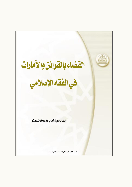القضاءبالقرائن والأمارات في الفقه الإسلامي إعداد، عبدالعزيزب*ن سعد الد*غيثر\* \* باحث في الدراسات الشرعية.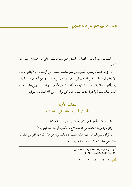الحمد لله رب العالمين والصلاة والسلام على نبينا محمد وعلى أله وصحبه أجمعين ، أما يعد :

فإن إرادة العدل ونصرة المظلوم من أهم مقاصد القضاء في الإسلام، ولا يتأتى ذلك إلا بإطلاق حرية القاضي للبحث في القضية والنظر في ما يكتنفها من أحوال وأمارات . ومن أشهر مسائل البينات القضائية ، مسألة القضاء بالأمار ات والقرائن . وفي هذا البحث تحقيق لهذه المسألة بذكر الخلاف فيها وحجة كل قول، ومن الله الهداية والتوفيق .

## المطلب الأول تحقيق المقصود بالقرائن القضائية

القرينة لغةً : مأخوذة من المصاحبة(١)، ويراد بها العلامة . والمراد بالقرينة القاطعة في الاصطلاح، الأمارة البالغة حد اليقين(٢) . والمراد بالتعريف ما أجمع عليه العلماء، ولكننا نريد في هذا المبحث القرائن الظنية الغالبة في هذا المبحث، فيكون التعريف المختار :

> (١) لسان العرب والصحاح ٦ / ٢١٨١ مادة قرن. (٢) مجلة الأحكام العدلية (١٧٤١). الصطل العدد (٢٨) شوال ١٤٢٦هـ - ١٤٠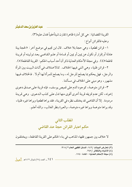عيدالعزيز بن سعدالدغيثر

القرينة القضائية : هي كل أمارة ظاهرة تقارن شيئاًخفياً فتدل عليه(٣) . وعليه فالقرائن أنواع:

١- قرائن قطعية، وهي حجة بلا خلاف . قال ابن نجيم في موضع أخر : «الحجة بينة عادلة أو إقرار أو نكول عن يمين أو يمين أو قسامة أو علـم الـقـاضـي بـعـد توليتـه أو قرينـة قاطعة»(٤) . وفي مجلة الأحكام العدلية ذكر أن أحد أسباب الحكم : القرينة القاطعة(٥) .

٢- قرائن ظنية، وهي التبي فيها الخلاف . كالاختلاف في أثاث البيت بين المرأة والرجل، فهل يحكم بما يصلح للرجل له، وما يصلح للمرأة لها أم لا . فالخلاف فيها مشهور، وهو مبني علي الخلاف في مسألتنا .

٣- قرائن متوهمة ، كوجود الدم على قميص يوسف ، فإنه قرينة على صدق دعوى إخوته ، لكن عدم تمزيقه قرينة أخرى أقوى منها تدل على كذب الدعوى . وهي قرينة مر دودة . إلا أن القاضي قد يختلف نظر ه في القرينة ، فقد يراها قطعية ويراها غير ه ظنية ، وقد يراها متوهمة ويراها غيره متوهمة، والعبرة بنظر الغالب، والله أعلم.

# المطلب الثانى حكم اعتبار القرائن حجة عند القاضي

لا خلاف بين جمهور فقهاء المذاهب في بناء الحكم على القرينة القاطعة ، ويختلفون

- (٣) تعارض البينات /١٤٢، المدخل الفقهي العام ٩١٨/٢.
	- (٤) الأشباه والنظائر /٢٤٧.
	- (٥) مجلة الأحكام العدلية المادة ١٧٤٠.

ا كا ال العدد (٢٨) شوال ١٤٢٦هـ [[جيد]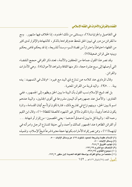في التفاصيل والجزئيات(٦)، ويستثني من ذلك الحدود، إذ الخلاف فيها مشهور . ومع ما للقرائن من دور في تبيين الحق نلحظ عدم إفر ادها بالذكر ، كالشهادة والإقرار لدى كثير من الفقهاء احتياطاً واحترازاً من قضاة السوء وسداً للذريعة، إذ قد يحكم قاض بحكم ويبنيه على قرائن ضعيفة(٧) .

وقد نصر هذا القول جماعة من المحققين والأئمة ، فعند ذكر القرافي حجح القضاء التي أوصلها إلى سبع عشرة حجة ، ذكر منها القافة وشواهد الأحوال(٨) . وهي الأمارات والقرائن .

وقال المرداوي عند كلامه عن تنازع ذي اليد مع غيره: «وقال في التمهيد: يده بينة . . . »(٩) . واليد قرينة من القرائن المعتبر ة .

بل نجد شيخ الإسلام نسب القول بأن البينة ما يبين الحق ويظهره إلى الجمهور ، ففي الفتاوي: والأصل عند جمهورهم أن اليمين مشروعة في أقوى الجانبين، والبينة عندهم اسم لما يبين الحق، وبينهم نزاع في تفاريع ذلك، فتارة تكون لوثاً مع أيمان القسامة، وتارة يكون شاهداً ويميناً، وتارة تكون دلائل غير الشهود كالصفة للقطة(١٠)، وقال ابن القيم رحمه الله : والبينة كل ما يبين له صدق أحدهما – يعني الخصمين– من إقرار أو شهادة . . . أو القرائن الظاهرة عند الجمهور كمالك وأحمد وأبي حنيفة كتنازع الرجل وامرأته في ثيابهما(١١) ، وممن نصر إفرادالأمارات بكونها حجة معتبرة شرعاً شيخُ الإسلام، وتلميذه

| (٦) الإسلام عقيدة وشريعة لمحمود شلتوت ٤٦٩ عن وسائل الإثبات ٥٠٠.      |
|----------------------------------------------------------------------|
| (٧) وسائل الإثبات ٥٠٠.                                               |
| (٨) تهذيب الفروق ٢٤٨/٢.                                              |
| (۹) الإنصاف مع الشرح ۲۹/ ۱۲۳.                                        |
| (۱۰) مجموع الفتاوى ٣٩٢/٣٥.                                           |
| (١١) ملخصا من بدائع الفرائد بواسطة الفواكه العديدة لابن منقور ١٩٢/٢. |
| الهيال العدد (٢٨) شوال ١٤٢٦هـ _ ١٤٢                                  |
|                                                                      |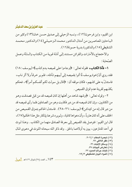#### عيد العزيز بن سعد الدغيثر

ابن القيم، وابن فرحون(١٢)، ونسبه الزحيلي إلى صديق حسن خان(١٣) وكثير من الباحثين المعاصرين من أمثال الدكتور محمد الـزحيـلـي(١٤) والدكتور محـمـد الشنقيطي (١٥) والدكتورة بدرية حسونة(١٦) .

والاحتجاج بالأمارات والقرائن مستند إلىي أدلة قوية من الكتاب والسّنّة وعمل الصّحاية :

١- فأمّا الكتاب، فقوله تعالى : ﴿وجاءوا على قميصه بدم كذب﴾ (يوسف : ١٨) فقد روى أنَّ إخوة يوسف لَّا أتوا بقميصه إلى أبيهم تأمَّله، فلم ير خرقاً ولا أثر ناب، فاستدلَّ به على كذبهم، فكان موقفه أن : ﴿قال بل سولت لكم أنفسكم أمراً﴾، فحكم بكذبهم لقرينة عدم تمزق القميص .

٢- وقوله تعالى : ﴿وشهد شاهد من أهلها إن كان قميصه قد من قبل فصدقت وهو من الكاذبين، وإن كان قميصه قد من دبر فكذبت وهو من الصادقين فلما رأى قميصه قد من دبر قال إنه من كيدكن﴾ (يوسف :٢٦-٢٨) . فاستدل الحاكم بتمزق القميص من الخلف على أنه كان هارباً، وأن دعواها كاذبة، ولم يرد شرعنا بإنكار مثل هذا الحكم(١٧)، قال ابن القيم : فتوصل بقد القميص إلى معرفة الصادق منهما من الكاذب . وهذا لـوث في أحد المتنازعين ، يبين به أولاهما بالحق . وقد ذكر الله سبحانه اللوث في دعوى المال

> (١٢) تعصرة الحكام ٢٠٢/١. (١٣) ظفر اللاظي ٩٦. (١٤) وسائل الإثبات ٢٦. (١٥) تعارض البينات ٣٧. (١٦) إثبات جرائم الحدود ٢٢. (١٧) أضواء البيان للشنقيطي ٦٩/٣.

١٤٣ ــ العدد (٢٨) شوال ١٤٢٦هـــ <mark>الصيد</mark>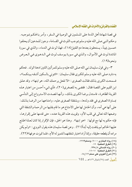في قصة شهادة أهل الذمة على المسلمين في الوصية في السفر ، وأمر بالحكم بموجبه . وحكم النبي صلى الله عليه وسلم بموجب اللوث في القسامة ، وجوز للمدعين أن يحلفوا خمسين يميناً، يستحقون بعدها دم القتيل(١٨)، فهذا لوث في الدماء، والذي في سورة المائدة لوث في الأموال، والذي في سورة يوسف لوث في الـدعـوى فـي الـعـرض ونحوه(١٩).

٣- وفي قول سليمان نبي الله صلى الله عليه وسلم للمر أتين اللتين ادعتا الولد . فحكم به داود صلى الله عليه وسلم للكبرى فقال سليمان : «ائتونى بالسكين أشقه بينكما»، فسمحت الكبرى بذلك فقالت الصغرى : «لا تفعل ير حمك الله ، هو ابنها» ، وقد عـلـق ابن القيم على القصة فقال : فقضى به للصغرى(٢٠)، فأي شيء أحسن من اعتبار هذه القرينة الظاهرة، فاستدل برضا الكبرى بذلك، وأنها قصدت الاسترواح إلى التأسى بمساواة الصغرى في فقد ولدها، وبشفقة الصغرى عليه، وامتناعها من الرضا بذلك : على أنها هي أمه، وأن الحامل لها على الامتناع هو ما قام بقلبها من الرحمة والشفقة التي وضعها الله تعالى في قلب الأم، وقويت هذه القرينة عنده، حتى قدمها على إقرارها، فإنه حكم به لها مع قولها : «هو ابنها» . وهذا هو الحق، فإن الإقرار إذا كان لعلة اطلع عليها الحاكم لم يلتفت إليه أبداً(٢١) . وعن قصة سليمان هذه يقول النووي : «ولم يكن مراده أن يقطعه حقيقة، وإنما أراد اختبار شفقتهما لتتميز له الأم، فلما تميزت عرفها»(٢٢).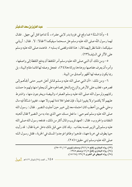٤- وأمّا السّنّة « فما وقع في غزوة بدر لابني عفراء، لّا تداعيا قتل أبي جهل . فقال لهما رسول اللَّه صلى الله عليه وسلم هل مسحتما سيفيكما ؟ فقالا : لا . فقال : أرياني سيفيكما، فلمَّا نظر إليهما قال : هذا قتله وقضي له بسلبه » . فاعتمد صلى الله عليه وسلم على الأثر في السّيف(٢٣) .

٥- ومن ذلك أن النبي صلى الله عليه وسلم أمر الملتقط أن يدفع اللقطة إلى واصفها ، وأمره أن يعرف عفاصها ووعاءها ووكاءها(٢٤)، فجعل وصفه لها قائما مقام البينة ، بل ربما يكون وصفه لها أظهر وأصدق من البينة .

٦- ومن ذلك : «أن النبي صلى الله عليه وسلـم قـاتـل أهـل خيبـر حتـى ألجـأهـم إلـي قصرهم، فغلب على الأرض والزرع والنخل فصالحوه على أن يجلوا منها ولهم ما حملت ركابهم ولرسول الله صلى الله عليه وسلم الصفراء والبيضاء ويخرجون منها، واشترط عليهم ألا يكتموا ولا يغيبوا شيئاً، فإن فعلوا فلا ذمة لهم ولا عهد، فغيبوا مَسْكاً فيه مال وحلى لحيي بن أخطب كان احتمله معه إلى خيبر حين أجليت النضير . فقال : رسول الله صلى الله عليه وسلم لعم حيى : ما فعل مسك حيى الذي جاء به من النضير ؟ فقال أذهبته النفقات والحروب، فقال : العهد قريب وإلمال أكثر من ذلك ، فدفعه رسول الله صلى الله عليه وسلم إلى الزبير فمسه بعذاب . وقد كان حيى قبل ذلك دخل خربة فقال : قد رأيت حييا يطوف في خربة ههنا، فذهبوا وطافوا فوجدوا المسك في الخربة، فقتل رسول الله صلى الله عليه وسلم ابني حقيق» (٢٥) .

- (٢٣) رواه البخاري (فتح ٢٤٦/٥) ومسلم (نووي ٢١/١٢–٢٥). (٢٤) رواه البخاري (فتح ٢٥/٥ ومسلم ١٣٤٥.
	- (٢٥) رواه البيهقي في الكبرى ١٣٧/٩ (١٨١٦٨).

0 كم ( \_ العدد (٢٨) شوال ١٤٢٦هـ [[جمعة]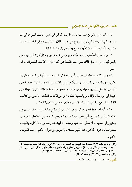٧- وقد روى جابر بن عبد الله قال : «أردت السفر إلى خيبر ، فأتيت النبي صلى الله عليه وسلم فقلت له : إني أريد الخروج إلى خيبر ، فقال : إذا أتيت وكيلي فخذ منه خمسة عشر وسقاً، فإذا طلب منك أية، فضع يدك على ترقوته» (٢٦) .

٨- وأمَّا عمل الصَّحابة ، فمنه حكم عمر رضي الله عنه برجم المرأة إذا ظهر بها حمل وليس لها زوج . وجعل ذلك يقوم مقام البيّنة في أنّها زانية ، وكذلك السّكران إذا قاء الخمر .

٩- ومن ذلك : ماجاء في حديث أبي رافع قال : « سمعت علياً رضي الله عنه يقول : بعثني رسول الله صلى الله عليه وسلم أنا والزبير والمقداد بن الأسود، قال : انطلقوا حتى تأتوار وضة خاخ فإن بها ظعينة ومعها كتاب ، فخذوه منها ، فانطلقنا تعادي بنا خيلنا حتى انتهينا إلى الروضة ، فإذا نحن بالظعينة فقلنا : أخر جي الكتاب فقالت : ما معي من كتاب ، فقلنا : لتخرجن الكتاب أو لنلقين الثياب ، فأخرجته من عقاصها ١٧٧) .

١٠- أن الصحابة قضوا بالقرائن في كثير من الوقائع القضائية، وقد ساق ابن القيّم كثيراً من الوقائع الّتي قضي فيها الصّحابة رضي الله عنهم بناءً على القرائن ، وانتهى إلى تفسير قوله صلى الله عليه وسلم : « البيّنة على المدّعى » بأنّ المراد بالبيّنة ما يظهر صحَّة دعوى المدِّعي . فإذا ظهر صدقه بأيّ طريق من طرق الحكم ، ومنها القرينة ، حكم له .

العطيم العدد (٢٨) شوال ١٤٢٦هـ \_ ٢ كم 1

<sup>(</sup>٢٦) رواه أبو داود ٣٦٣٢ ومن طريقه البيهقي في الكبـري٦ / ٨٠ (١١٢١٤)، ورواه الدارقطني في سننــه ٤ / ١٥٤، وهو ضعيف لأن ابن إسحاق مشهور بالتدليس وقد عنعن. وضعفه المنذري كما في عون المعبود ١٠ / ٤٤ وابن القطان كما في نصب الراية ٤ /٩٤، والألباني في ضعيف الجامع(٢٨٨). (۲۷) رواه البخاري (۲۸٤٥) ومسلم (۲٤٩٤).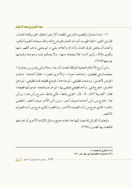### عيدالعزيز بن سعدالدغيثر

١١- كما استدلوا بالمقصود الشرعى للقضاء ألا وهو إحقاق الحق وإقامة العدل، قال ابن القيم : « فإذا ظهرت أمارات العدل فثم شرع الله والله سبحانه أعلم وأحكم ، وأعدل أن يخص طرق العدل وأماراته وأعلامه بشيء، ثم ينفي ما هو أظهر منها وأقوى دلالة، وأبين أمارة فلا يجعله منها، ولا يحكم عند وجودها وقيامها بموجبها»(۲۸).

ومن أروع الأحكام العجيبة الموافقة للعدل أنه جاء رجلان إلى إياس بن معاوية ؛ يختصمان في قطيفتين : إحداهما حمراء ؛ والأخرى خضراء ؛ فقال أحدهما : دخلت الحوض لأغتسل، ووضعت قطيفتي، ثم جاءهذا، فوضع قطيفته تحت قطيفتي، ثم دخل فاغتسل، فخرج قبلي، وأخذ قطيفتي فمضي بها ؛ ثم خرجت فتبعته، فزعم أنها قطيفته؛ فقال: ألك بينة ؟ قال: لا . قال: ائتوني بمشط ؛ فأتى بمشط، فسرح رأس هـذا، ورأس هذا . فخرج من رأس أحدهما صوف أحمر ، ومن رأس الآخر صوف أخضر ؛ فقضي بالحمراء للذي خرج من رأسه الصوف الأحمر ، وبالخضر اء للذي خرج من رأسه الصوف الأخضر .

وليعلم أن القرائن إنما يصار إليها عند انعدام جميع وسائل الإثبات الأخرى أو تعارضها فالقضاء بها للضرورة (٢٩) .

- (٢٨) الطرق الحكمية ١٨.
- (٢٩) السياسة القضائية في عهد عمر ٧٣١.

1 \$ 1 \_ العدد (٢٨) شوال ١٤٢٦هـ ||هط|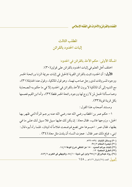## المطلب الثالث إثبات الحدود بالقرائن

المسألة الأولى: حكم الأخذ بالقرائن في الحدود:

اختلف أهل العلم في إثبات الحدود بالقرائن على قولين(٣٠):

**الأول :** أن الحدود تثبت بالقرائن القوية كالحبل في إثبات جريمة الزنـا ورائحة الخمر ووجود المسروقات لدى رجل صاحب تهمة ، وهو قول المالكية ، وقول عند الحنابلة(٣١) ، مع التنبيه إلى أن المالكية لا يرون الأخذ بالقرائن في الحدود إلا في ما حكم به الصحابة وهما مسألتا الحمل لمن لا زوج لها ووجود رائحة الخمر فقط(٣٢)، وأما ابن القيم فعممها بكل قرينة قوية(٣٣).

ومستند أصحاب هذا القول:

١ – حكم عمر بن الخطاب رضي الله عنه رضي الله عنه برجم المرأة التبي ظهر بها الحبل، وزوجها غائب، فقال معاذ : إن يكن لك عليها سبيل فلا سبيل لك على ما في بطنها، فقال عمر : احبسوها حتى تضع فوضعت غلاماً له ثنيتان، فلما رآه أبوه قال : ابني، فبلغ ذلك عمر فقال: عجزت النساء أن يلدن مثل معاذ (٣٤) .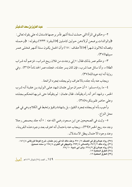### عيدالعزيز بن سعدالدغيثر

٢- وحكم في المرأة التي حملت لستة أشهر فأمر برجمها فاستدل له على بقوله تعالى : ﴿والوالدات يرضعن أولادهن حولين كاملين ﴾(البقرة : ٢٣٣) ويقوله : ﴿وحمله وفصاله ثلاثون شهراً ﴾(الأحقاف : ١٥) وأن الحمل يكون ستة أشهر فخلي عمر  $(50)$ سسل

٣- وحكم عمر بذلك فقال : « إني وجدت من فلان ريح شراب، فزعم أنه شراب الطلاء، وأنا سائل عما شرب، فإن كان يسر جلدته، فجلده عمر الحد تاماً »(٣٦). وفي دواية أنه ابنه عبيدالله(٣٧) .

ويجاب عنه بأنه جلده بالاعتراف ولم يجلده بمجرد الرائحة .

٤- ما رواه مسلم : « أن حمران مولى عثمان شهد على الوليد بن عقبة أنه شرب الخمر ، وشهد أخر أنه رآه يتقيأها، فقال عثمان : لم يتقيأها حتى شربها فحكم بجلده وعلى حاضر فلم ينكره»(٣٨) .

وأجيب بأنه لم يجلده بمجرد التقيؤ ، بل بشهادة وتقيؤ وتخبط في الكلام وهي في غير محل النزاع .

٥- وثبت في الصحيحين عن ابن مسعود رضي الله عنه : « أنه جلد بحمص رجلا وجد منه ريح الخمر "(٣٩)، ويجاب عنه باحتمال أنه اعترف بعد وجود هذه القرينة ، وعند وجود الاحتمال يبطل الاستدلال .

|                                        | (٣٥) رواه عبدالرزاق في المصنف ٢٥٠/٧، وعند مالك أنه في زمن عثمان، شرح الموطأ للزرقاني ١٤٦/٤. |
|----------------------------------------|---------------------------------------------------------------------------------------------|
|                                        | (٣٦) رواه مالك ٢ / ٣٤٢، والنسائي ٢٩٣/٨، والبيهقي في الكبرى ١٩٥/٨ و سنده صحيح.               |
|                                        | (۳۷) رواه عبدالرزاق ۲۲۸/۹، وابن أبي شيبة ۳۸/۱۰.                                             |
|                                        | (٣٨) الطرق الحكمية ١٢.                                                                      |
|                                        | (٣٩) الطرق الحكمية ١٢.                                                                      |
| ٩ ٤ ١ _ العدد (٢٨) شوال ١٤٢٦هـ [[هيما] |                                                                                             |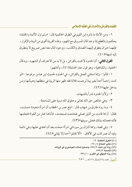٦- ومن الأدلة ما ذكره ابن القيم في الطرق الحكمية قال : «ولم تزل الأئمة والخلفاء يحكمون بالقطع إذا وجد المال المسروق مع المتهم، وهذه القرينة أقوى من البينة والإقرار ، فإنهما خبران يتطرق إليهما الصدق والكذب، ووجود المال معه نص صريح لا يتطرق الله شبهة» (٤٠).

القول الثاني: أن الحدود لا تثبت بالقرائن ، بل لا بد من الاعتراف أو الشهود، وبه قال الحنفية، والشافعية، وهو قول عند الحنابلة(٤١)، وأدلتهم:

١ – قالوا : وإنما استثنى العمل بالقرائن ، في الحدود لحديث ابن عباس مر فوعـا : «لـو كنت راجماً أحداً بغير بينة لرجمت فلانة فقد ظهر منها الريبة في منطقها وهيأتها ومن يدخل عليها» (٤٢).

٢ – و لأن الحدود تدرأ بالشيعات .

٣- وهي خالص حق الله تعالى وحقوق الله مبنية على المسامحة .

٤- وما رواه طارق بن شهاب قال : «بلغ عمر بن الخطاب أن امرأة متعبدة حملت، فقال : أراها قامت من الليل تصلى فخشعت فسجدت، فأتاها غاو من الغواة فتجثمها فأتته فحدثته بذلك فخلى سبيلها»(٤٣).

٥- وفي قصة رواها النزال بن سبرة في امر أة حملت بعد أن اعتدى عليها وهي نائمة وفيه أن عمر كتب في الأفاق: «ألا تقتلوا أحدا إلا بإذني»(٤٤).

> (٤٠) الطرق الحكمية ١٢. (٤١) مغنى المحتاج ٤ / ١٩٠. (٤٢) رواه ابن ماجه ٢/٨٥٥، وصحح إسناده البوصيري في الزوائد. (٤٣) الإصابة ٥٢٣/٣. (٤٤) رواه البيهقي في الكبرى ١٠/ ٢٣٦. ||هيم:|| العدد (٢٨) شوال ١٤٢٦هـ \_ • 0 \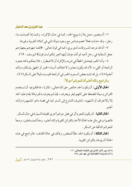٦- أنه يتصور حمل بلا زنا يبيح الحد، كما في حال الإكراه، وكما إذا تحملت ماء رجل، وقد حدثت فعلاً خصوصاص مع وجود بنوك المني في البلاد الغربية وغيرها .

٧- أنه قد توجد المسروقات لدي بريء كما في قوله تعالى : ﴿فلما جهزهم بجهازهم

جعل السقاية في رحل أخيه ثم أذن مؤذن أيتها العير إنكم لسارقون﴾ (يوسف : ٦٩) .

٨- وأما الخمر فيحتمل الخطأ في شربه والإكراه أو الاضطرار ، فلا يحكم بالحد بمجرد الرائحة أو القيء؛ لأنه قد يكون معذورا لاختلاف أسماء الخمر أو الجهل بإسكاره والله أعلم(٤٥)، بل قد تشبه بعض السموم الخمر في الرائحة فليست دليلاً على السكر(٤٦) . والراجح والله أعلم أن للجرائم أحوالاً:

**الحال الأولى :** أن يكون الحد خالص حق الله تعالى ، كالزنا ، فالحكم فيه أن تستخدم القرائن وسيلة للضغط على المتهم ليقر ويعترف، فإن لم يعترف بالجرم فلا يقام عليه الحد إلا بالاعتراف أو الشهود، لتشوف الشارع إلى الستر كما في قصة ماعز المشهورة والله أعلم .

**الحال الثانية** : أن يكون للجرم أثر في فعل جرائم أخرى كقيادة السيارة في حال السكر . فالصواب في مثل هذه الحالة الأخذ بالقرائن القوية والله أعلم، ردعاً للمتساهلين، ومنعاً للجرائم الناتجة عن السكر .

**الحال الثالثة :** أن يكون الحد حقّاً للمتضرر وذلك في حالة القذف، فالراجح في هذه الحالة أن يؤخذ بالقرائن القوية .

- (٤٥) دور الأثر المادي في الإثبات الجنائي ١١١.
	- (٤٦) السياسة القضائية في عهد عمر ٧٤٥.

١٥١\_ العدد (٢٨) شوال ١٤٢٦هـ [[جهل]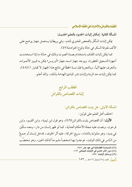المسألة الثانية: إمكان إثبات الحدود بالعلم الحديث:

يمكن إثبات السُّكْر بالفحص المخبري للدم، وفي بريطانيا يستعمل جهاز يوضع على الأنف لمعرفة السكر في حالة وقوع الحوادث(٤٧).

كما يمكن إثبات القذف باستخدام بصمة الصوت وذلك في حالة ما إذا استخدمت أجهزة التسجيل المتطورة، ويوجد جهاز اسمه جهاز «أوروس» يمكن به تمييز الأصوات والتعرف عليها ألياً، وبالتجربة فإن نسبة الخطأ في نتائج هذا الجهاز لا تجاوز ١٪(٤٨)، كما يمكن إثبات حد الردة وإثبات نشر المبادئ الهدامة بذلك، والله أعلم .

المطلب الرابع إثبات القصاص بالقرائن

المسألة الأولى: هل يثبت القصاص بالقرائن:

اختلف أهل العلم على قولين : الأول: أن القصاص يثبت بالقرائن(٤٩)، وهو قول ابن تيمية، وابن القيم، وابن فرحون، ونصت عليه مجلة الأحكام العدلية، كما لو ظهر إنسان من دار، ومعه سكَّين في يديه، وهو متلوِّث بالدِّماء، سريع الحركة، عليه أثر الخوف، فدخل إنسان أو جمعٌ من النّاس في ذلك الوقت، فوجدوا بها شخصاً مذبوحاً لذلك الحين، وهو مخضَّب

> (٤٧) السياسة القضائية في عهد عمر ٧٤٥. (٤٨) دور الأثر المادي في الإثبات الجنائي ١١٣. (٤٩) وسائل الإثبات ٥٢٧. الشيط العدد (٢٨) شوال ١٤٢٦هـ - ١٥٢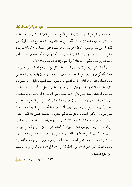### عبدالعزيزين سعدالدغيثر

بدمائه ، ولم يكن في الدّار غير ذلك الرّجل الّذي وجد على الصّقة المذكورة ، وهو خارج من الدّار ، فإنّه يؤخذ به ؛ إذ لا يشكّ أحد في أنّه قاتله واحتمال أنّه ذبح نفسه ، أو أنّ غير ذلك الرَّجل قتله ثمّ تسوَّر الحائط وهرب، ونحو ذلك، فهو احتمال بعيد لا يلتفت إليه؛ إذ لم ينشأ عن دليل . وقال ابن القيم : «وهل يشك أحد رأى قتيلاً يتشحط في دمه ، وآخر قائماً على رأسه بالسكين : أنه قتله ؟ ولا سيما إذا عرف بعداوته»(٥٠) .

إلا أنه قد يقع شيء من ذلك فيتهم البريء فقد نقل ابن القيم من قضايا على رضي الله عنه : «أنه أتى بر جل وجد في خربة بيده سكين متلطخة بدم، وبين يديه قتيل يتشحط في دمه . فسأله ؟ فقال : أنا قتلته ، قال : اذهبوا به فاقتلوه . فلما ذهب به أقبل رجل مسرعاً، فقال: يا قوم، لا تعجلوا . ردوه إلى على، فردوه، فقال الرجل: يا أمير المؤمنين، ما هذا صاحبه، أنا قتلته . فقال على للأول : ما حملك على أن قلت : أنا قاتله، ولم تقتله ؟ قال : يا أمير المؤمنين ، وما أستطيع أن أصنع ؟ وقد وقف العسس على الرجل يتشحط في دمه، وأنا واقف، وفي يدي سكين، وفيها أثر الدم، وقد أخذت في خربة ؟ فخفت ألا يقبل مني، وأن يكون قسامة، فاعترفت بما لم أصنع، واحتسبت نفسي عند الله . فقال على: بئسما صنعت . فكيف كان حديثك ؟ قال : إني رجل قصاب ، خرجت إلى حانوتي في الغلس ، فذبحت بقرة وسلختها . فبينما أنا أسلخها والسكين في يدي أخذني البول . فأتيت خربة كانت بقربي فدخلتها، فقضيت حاجتيي، وعدت أريد حانوتي، فإذا أنا بهذا المقتول يتشحط في دمه فراعني أمره، فوقفت أنظر إليه والسكين في يدي، فلم أشعر إلا بأصحابك قد وقفوا على فأخذوني ، فقال الناس: هذا قتل هذا ، ما له قاتل سواه . فأيقنت

١٥٣\_ العدد (٢٨) شوال ١٤٢٦هـ ||هط|

<sup>(</sup>٥٠) الطرق الحكمية ١١.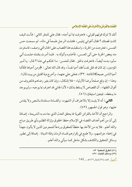أنك لا تترك قولهم لقولي، فاعترفت بما لم أجنه، فقال على للمقر الثاني : فأنت كيف كانت قصتك ؟ فقال أغواني إبليس، فقتلت الرجل طمعاً في ماله، ثم سمعت حس العسس، فخرجت من الخربة ، واستقبلت هذا القصاب على الحال التي وصف ، فاستترت منه ببعض الخربة حتى أتى العسس ، فأخذوه وأتوك به . فلما أمرت بقتله علمت أنبي سأبوء بدمه أيضاً، فاعترفت بالحق. فقال للحسن: ما الحكم في هذا؟ قال: يا أمير المؤمنين، إن كان قد قتل نفساً فقد أحيا نفساً، وقد قال الله تعالى : ﴿ومِن أحياها فكأنما أحيا الناس جميعا﴾(المائدة : ٣٢)، فخلي على عنهما، وأخرج دية القتيل من بيت المال» . وهذا – إن وقع صلحاً برضا الأولياء – فلا إشكال، وإن كان بغير رضاهم فالمعروف من أقوال الفقهاء : أن القصاص لا يسقط بذلك ؛ لأن الجاني قد اعترف بما يوجبه ، ولم يوجد ما يسقطه، فيتعين استيفاؤه (٥١).

**الثاني :** أنه لا يثبت إلا بالاعتراف أو الشهود، والقسامة مستثناة بالنص ولا يقاس عليها، وهو قول الجمهور (٥٢).

والراجح أن الأخذ بالقرائن القوية مما يحقق العدل الذي جاءت به الشريعة، إضافة إلى أن من أهم أهداف القضاء في الإسلام حفظ الحقوق وإزالة الظلم بأي طريق مباح والله أعلم . فلا بد من الأخذ بها حفظاً للحقوق وردعاً للمجر مين الذين لا يألون جهداً في إخفاء جرائمهم، ولا طمع في إقرارهم لفساد الزمان وقلة الديانة . إضافة إلى تطور وسائل التحقيق والكشف بشكل مذهل كما سيأتي والله أعلم .

- (٥١) الطرق الحكمية ٥٣.
- (٥٢) وسائل الإثبات ٥٢٧.
- الصطل العدد (٢٨) شوال ١٤٢٦هـ \_ ١٥٤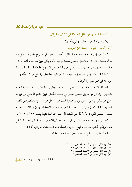عيد العزيز بن سعد الدغيثر

المسألة الثانية: دور الوسائل الحديثة في كشف الجرائم:

يمكن أن يتم التعرف على الجاني بأمور : أولاً: الآثار الحيوية، وذلك عن طريق:

١ – الدم، إذ يمكن معرفة طبيعة السائل الأحمر الموجود في مسرح الجريمة، وهل هـو دم أم صبغة ، فإن كان دماً فهل يخص إنساناً أم حيواناً، ويمكن تمييز صاحب الدم إذا كان هناك عدة متهمين وذلك باستخدام بصمة الحمض النووي DNA الدقيقة بنسبة ١٠٠٪(٥٣) . كما يمكن معرفة زمن انبعاث الدم مما يساعد على إخراج من ثبت أنه وقت خروجه في غير مسرح الجريمة .

٢- بقايا الشعر ، إذ قد يمسك المجنى عليه بشعر الجاني ، مما يمكن من تمييزه عند تعدد المتهمين . ويمكن عن طريق فحص الشعر في المختبر الجنائي تمييز الشعر الآدمي من غيره، وهل هو لذكر أم أنثى، ومن أي مواضع الجسم هو ، وهل هو منزوع أم مقصوص لقصد التمويه(٥٤)، كما يمكن تمييز صاحب الشعر إذا كان هناك عدة متهمين وذلك باستخدام بصمة الحمض النووي DNA التي أثبتت الاختبارات أنها دقيقة بنسبة ١٠٠٪ . (٥٥) . ٣-المني، ولتحديده أهمية كبري في إثبات جرائم الاغتصاب والجرائم الجنسية بشكل عام . ويمكن تحديد صاحب البقع المنوية بواسطة علم البصمات الوراثية (٥٦) . ٤- اللعاب، ويمكن تحديد شخصية صاحبه بتحليله .

- (٥٣) دور الأثر المادي في الإثبات الجنائي ٢١, ٢٣.
	- (٥٤) دور الأثر المادي في الإثبات الجنائي ٣٧.
	- (٥٥) دور الأثر المادي في الإثبات الجنائي ٣٨.
	- (٥٦) دور الأثر المادي في الإثبات الجنائي ٤٢.

00 \ \_ العدد (٢٨) شوال ١٤٢٦هـ ||هيا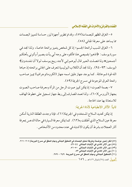٥– العَرَق المظهر للبصمات(٥٧)، وقدتم تطوير أجهزة ليزر حساسة لتمييز البصمات مما يساعد على معرفة الجاني (٥٨) .

٦- العَرَقِ المسببِ لرائحة الجسم؛ إذ كل شخص يتميز برائحة خاصة، ولذا نجد في سورة يوسف : ﴿اذهبوا بقميصي هذا فألقوه على وجه أبي يأت بصيراً وأتوني بأهلكم أجمعين\* ولما فصلت العير قال أبوهم إني لأجد ريح يوسف لولا أن تفندون﴾ (يوسف : ٩٣-٩٤) . ولذا نجد أن الكلاب البوليسية تتعرف على الجاني بر ائحته إذ حباها الله قوة شم هائلة . كما يوجد جهاز دقيق اسمه جهاز (الكروماتوجرافيا) يميز صاحب رائحة العرق الموجودة في مسرح الجريمة (٥٩) .

٧- يصمة الصوت؛ إذ يمكن تميز صوت الرجل من المرأة ومعرفة صاحب الصوت بجهاز (أوروس)(٦٠)، ولذا تعمدالمصارف إلى ربط جهاز تسجيل على خطوط الهاتف للاستعانة بها عند الحاجة .

ثانياً: الآثار الانطباعية لأداة الجريمة:

إذ يمكن تحديد السلاح المستخدم في الجريمة(٦١)، فإذا وجدت الطلقة النارية أمكن معرفة عين السلاح الذي أطلقت به(٦٢) . كما يمكن معرفة السيارة في حالة الدعس بمعرفة أثار العجلات بشرط أن يكون الاشتباه في عدد محدود من الأشخاص. .

(٥٧) انظر (صور موضحة وطريقة تحليل البصمات في التحقيق الجنائي ومهام المحقق في مسرح الجريمة) ٢٠٧– ٢١٦. (٥٨) دور الأثر المادي في الإثبات الجنائي ٤٤–٤٩. (٥٩) دور الأثر المادي في الإثبات الجنائي ٥٠–٥١. (٦٠) دور الأثر المادي في الإثبات الجنائي ٥٣. (٦١) التحقيق الجنائي ومهام المحقق في مسرح الجريمة ٢٤٩ – ٢٧٩. الشيخ العدد (٢٨) شوال ١٤٢٦هـ - ١٥٦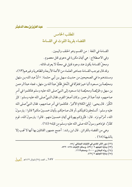عيد العزيز بن سعد الدغيثر

المطلب الخامس القضاء بقرينة اللوث في القسامة

القسامة في اللغة : من القسم وهو الحلف واليمين . وفي الاصطلاح : هي أيمان مكررة في دعوى قتل معصوم . ومحلِّ القسامة يكون عند وجود قتيل في محلَّة لا يعرف قاتله .

وقد قال بموجب القسامة جماهير العلماء من الأئمة الأربعة والظاهرية وغير هم(٦٣)، ومستندهم ما في الصحيحين من حديث سهل بن أبي حثمة : « أنَّ عبد الله بن سَهل ومحيِّصةَ بن مسعود أتيا خيبرَ فتفرَّقا في النَّخل فقْتلَ عبدُ الله بن سهَل ، فجاء عبدُ الرحمن بن سهل وحُوَيِّصةً ومحيِّصة ابنا مسعود إلى النبيِّ صلى الله عليه وسلم فتكلموا في أمر صاحبهم، فبدأ عبدُ الرحمن ـ وكان أصغرَ القوم ـ فقال النبيُّ صلى الله عليه وسلم : كبِّر الكُبْرَ . قال يحيى : ليَلِيَ الكلامَ الأكبرُ . فتكلموا في أمرٍ صاحبهم، فقال النبيُّ صلى الله عليه وسلم : أتستَحقونَ قتيلَكم ـ أو قال صاحبَكم ـ بأيمان خمسينَ منكم؟ قالوا : يارسولَ الله، أمرُّ لم نرَه . قال : فتُبْر ؤكم يهودُ في أيمان خمسينَ منهم . قالوا : يارسولَ الله ، قوم كفَّارٌ، فوَداهم رسولُ الله صلى الله عليه وسلم من قبَله» (٢٤) .

وهي من القضاء بالقرائن . قال ابن رشد : أجمع جمهور القائلين بها أنها لا تجب إلا بالشيهة (٦٥).

> (٦٢) دور الأثر المادي في الإثبات الجنائي /٥٨. (٦٣) بداية المجتهد ٢ /٤٣٧، وسائل الإثبات ٥٢٨– ٥٣٢. (٦٤) رواه البخاري ٦٠٠٠، ومسلم١٦٦٦٩. (٦٥) بداية المجتهد ٢٧/٢٤.

١٥٧\_ العدد (٢٨) شوال ١٤٢٦هـ ||هط|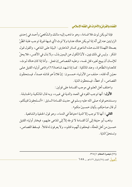فإذا لم يكن لوث فلا قسامة ، وهو ما ذهب إليه مالك والشَّافعيِّ وأحمد في إحدى الرّوايتين عنه إلى أنّه إذا لم يكن هناك عداوة ولا لوث (أي شبهة قويّة توجب غلبة الظّنّ بصحَّة التَّهِمة) كانت هذه الدِّعوي كسائر الدِّعاوي : البيِّنة على المدِّعي ، والقول قول المنكر . وليس في ذلك يمين، لأنّ النّكول عن اليمين بذل، ولا بذل في الأنفس، فلا يحلّ للإنسان أن يبيح لغيره قتل نفسه، وعليه القصاص إن فعل . وأمّا إذا كان هناك لوث، كالعداوة الظَّاهرة، وعند المالكية : كما إذا شهد شاهد(٦٦) وإدَّعي أولياء القتيل علي معيّن أنّه قتله، حلف من الأولياء خمسون: إنّ فلاناً هو قاتله عمداً، فيستحقّون القصاص، أو خطأً، فيستحقّون الدّية .

واختلف أهل العلم في موجب القسامة على قولين :

**الأول:** أنها توجب القود في العمد والدية في غيره، وبه قال المالكية والحنابلة . ومستندهم قوله صلى الله عليه وسلم في حديث القسامة السابق : «أتستَحقونَ قتيلَكم ـ أو قال صاحبَكم ـ بأيمان خمسينَ منكم» .

**الثاني :** أنها لا توجب إلا الدية احتياطاً في الدماء ، وهو قول الحنفية والشافعية .

وذهب أبو حنيفة إلى أنَّ القسامة لا توجَّه إلاَّ إلى المدَّعي عليهم، فيختار أولياء القتيل خمسين من أهل المحلَّة ، فيحلفون أنَّهم ما قتلوه ، ولا يعرفون له قاتلاً . فيسقط القصاص ، و تستحقّ الدّنة .

- (٦٦) تبصرة الحكام ٣١٥/١.
- ] هيمار العدد (٢٨) شوال ١٤٢٦هـ \_ ١٥٨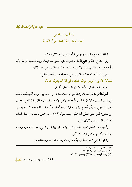عيدالعزيز بن سعدالدغيثر

المطلب السادس القضاء بقرينة الشبه بقول القافة

القافة : جمع قائف، وهو في اللُّغة : من يتَّبع الأثر (٦٧) . وفي الشَّرع : الَّذي يتتبَّع الآثار ويتعرَّف منها الَّذين سلكوها ، ويعرف شبه الرَّجل بأبيه وأخيه ويلحق النِّسب عند الاشتباه ، بما خصَّه اللَّه تعالى به من علم ذلك .

وفي هذا المبحث عدة مسائل، وهي مفصلة على النحو التالي : المسألة الأولى: تحرير أقوال الفقهاء في الأخذ بقول القافة:

اختلف العلماء في الأخذ بقول القافة على أقوال :

**القول الأول :** قول مالك والشّافعيّ وأحمد(٦٨)، ورجحه ابن حزم، أنّه يحكم بالقافة في ثبوت النّسب، إلا أن مالكًا لم يأخذ به إلا في الإماء . واستدل مالك والشافعي بحديث مجزز المدلجي لما رأى أقدام زيد بن حارثة وابنه أسامه وأنه قال : «إن هذه الأقدام بعضها من بعضٍ» فُسَّر النبي صلى الله عليه وسلم بقو له(٦٩) وردوا على مالك بأن زيدا وأسامة أحرار . فليس على الفرْق دليل .

وأجيب عن الحديث بأن النسب ثابت بالفراش وإنما سرَّ النبي صلى الله عليه وسلم بتوافق قوله مع الأصل وهو الفراش .

والقول الثاني: قول الحنفيّة بأنه لا يحكم بقول القافة ، ومستندهم :

(٦٧) المعجم الوسيط ٧٦٦/٢. (٦٨) ترتيب الفروق ٢ /٢٦٧-٢٦٨. (٦٩) رواه البخاري (١٣٦٥) ومسلم (١٠٨٢).

109 ــ العدد (٢٨) شوال ١٤٢٦هـ المط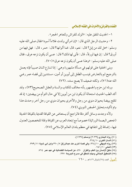١- الحديث المتفق عليه : «الولد للفراش وللعاهر الحجر» .

٢- وحديث الرجل الذي قال : «إن امرأتي ولدت غلاماً أسود» فقال صلى الله عليه وسلم: «هل لك من إبل؟ قال : نعم، قال : فما ألوانها؟ قال : حمر ، قال : فهل فيها من أورق؟ قال : إن فيها لورقاً، قال : فأنى لها ذلك؟ قال : عسى أن يكون نزعه عرق، فقال صلى الله عليه وسلم: «وهذا عسى أن يكون نزعه عرق» (٧٠).

وبني الحنفية على قولهم في مسألة مشهورة وهي : إذا تنازع اثنان صبياً فإنه يعمل بالتر جيح ثم بالتعارض فينسب الطفل إلى أبوين أو أمين ، مستندين إلى قضاء عمر رضي الله عنه(٧١)، ولكنه ضعيف لا يصح سنده . (٧٢)

وردّه ابن حزم والجمهور بأنه مخالف للكتاب والسنة والعقل الصحيح(٧٣)، وقد أكد الطب الحديث استحالة أن يكون ابن من أبو ين إلا في حال التو أم من بييضتين ؛ إذ قد تلقح بييضة بحيوان منوي من رجل والأخرى بحيوان منوى من رجل آخر وحدث هذا وتم تأكيده بتحليل الحمض النووي (٧٤).

ولأنه وجدت وسائل أكثر دقة فالراجح أن يستعاض عن القيافة القديمة بالقيافة الحديثة ( فحص البصمة الوراثية) خصوصاً مع ابتعاد العرب عن القيافة وقلة المتخصصين العدول فيها، إضافة إلى انتفائها في معظم بلدان العالم الإسلامي (٧٥) .

> (٧٠) رواه البخاري (٢٠٣٢) ومسلم (١١٣٧). (٧١) السنن الكبرى ١٠/ ٢٦٤. (٧٢) رواه البيهقي ٢٦٤/١٠، وفي قصة أخرى عند عبدالرزاق ٣٦٠/٧ وابن أبي شيبة ٣٧٩/١١. (٧٣) المحلي ١٠/ ١٤١. (٧٤) خلق الإنسان بن الطب والقرآن ٤٩٠، عن السياسة القضائية في عهد عمر ٧٦٤. (٧٥) التحقيق الجنائي ومهام المحقق في مسرح الجريمة ٢٢٧. الشيط العدد (٢٨) شوال ١٤٢٦هـ - ١٦٠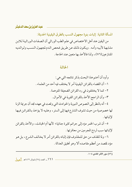المسألة الثانية: إثبات بنوة مجهول النسب بالطرق اليقينية الحديثة:

من اليقين عند أهل الاختصاص في علم الطب الوراثي أن الصفات الوراثية للابن مشابهة لأبيه وأمه . ويكون ذلك عن طريق فحص الدم لمجهول النسب ولوالديه المتناز عين (٧٦) ، ولذا فالأخذ بها متعين عند الحاجة .

#### الخاتمة

وأود أن أختم هذا البحث بذكر نتائجه التي هي : ١ – أن القضاء بالقر ائن اليقينية أمر لا يختلف فيه أحد من العلماء . ٢- كما لا يختلفون في رد القرائن الضعيفة المتوهمة . ٣- وأن الراجح الأخذ بالقرائن القوية في الأموال .

٤- أنه بالنظر إلى النصوص النبوية والحوادث التي وقعت في عهده نجد أن جريمة الزنا لها خصوصية من حيث تشوف الشارع فيها إلى الستر ، وعليه لا يؤخذ بالقرائن فيها لاثناتها .

٥- أن شرب الخمر مؤد إلى جرائم كثيرة جنائية ؛ لأنها أم الخبائث ، والأخذ بالقرائن لإثباتها سبب لردع المجرمين من معاقرتها .

٦- ولما للقذف من حق للمقذوف فإن إثباته بالقرائن أمر لا يخالف الشرع، بل هو مؤد لمقصد من أعظم مقاصده ألا وهو تحقيق العدالة .

(٧٦) دور الأثر المادي ١٠٤.

١٦١\_ العدد (٢٨) شوال ١٤٢٦هـ [[جيد]